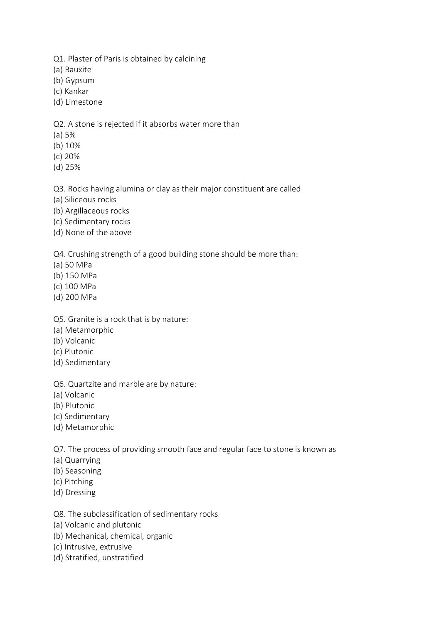Q1. Plaster of Paris is obtained by calcining

(a) Bauxite

(b) Gypsum

(c) Kankar

(d) Limestone

Q2. A stone is rejected if it absorbs water more than

(a) 5%

(b) 10%

(c) 20%

(d) 25%

Q3. Rocks having alumina or clay as their major constituent are called

(a) Siliceous rocks

(b) Argillaceous rocks

(c) Sedimentary rocks

(d) None of the above

Q4. Crushing strength of a good building stone should be more than:

- (a) 50 MPa
- (b) 150 MPa
- (c) 100 MPa
- (d) 200 MPa

Q5. Granite is a rock that is by nature:

- (a) Metamorphic
- (b) Volcanic
- (c) Plutonic
- (d) Sedimentary

Q6. Quartzite and marble are by nature:

(a) Volcanic

- (b) Plutonic
- (c) Sedimentary
- (d) Metamorphic

Q7. The process of providing smooth face and regular face to stone is known as

- (a) Quarrying
- (b) Seasoning
- (c) Pitching
- (d) Dressing

Q8. The subclassification of sedimentary rocks

- (a) Volcanic and plutonic
- (b) Mechanical, chemical, organic
- (c) Intrusive, extrusive
- (d) Stratified, unstratified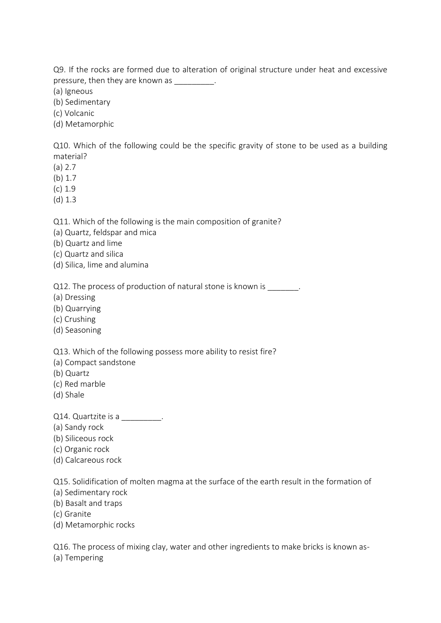Q9. If the rocks are formed due to alteration of original structure under heat and excessive pressure, then they are known as \_\_\_\_\_\_\_\_\_.

(a) Igneous

(b) Sedimentary

(c) Volcanic

(d) Metamorphic

Q10. Which of the following could be the specific gravity of stone to be used as a building material?

(a) 2.7

(b) 1.7

 $(c)$  1.9

(d) 1.3

Q11. Which of the following is the main composition of granite?

(a) Quartz, feldspar and mica

(b) Quartz and lime

(c) Quartz and silica

(d) Silica, lime and alumina

Q12. The process of production of natural stone is known is \_\_\_\_\_\_\_.

(a) Dressing

(b) Quarrying

(c) Crushing

(d) Seasoning

Q13. Which of the following possess more ability to resist fire?

- (a) Compact sandstone
- (b) Quartz
- (c) Red marble
- (d) Shale

Q14. Quartzite is a manu-

(a) Sandy rock

(b) Siliceous rock

(c) Organic rock

(d) Calcareous rock

Q15. Solidification of molten magma at the surface of the earth result in the formation of

(a) Sedimentary rock

(b) Basalt and traps

(c) Granite

(d) Metamorphic rocks

Q16. The process of mixing clay, water and other ingredients to make bricks is known as- (a) Tempering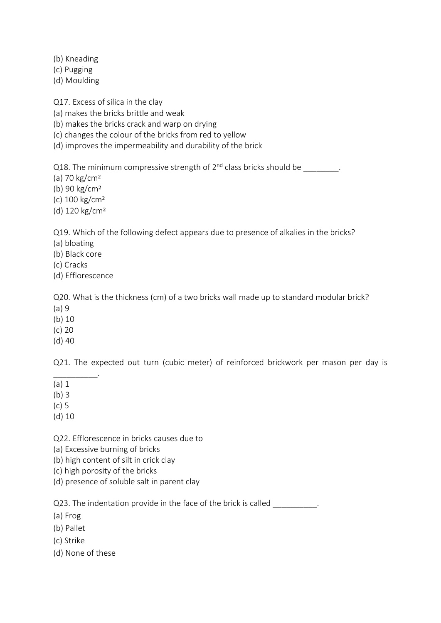(b) Kneading

(c) Pugging

(d) Moulding

Q17. Excess of silica in the clay

(a) makes the bricks brittle and weak

(b) makes the bricks crack and warp on drying

(c) changes the colour of the bricks from red to yellow

(d) improves the impermeability and durability of the brick

Q18. The minimum compressive strength of  $2^{nd}$  class bricks should be  $\qquad \qquad$ .

(a) 70 kg/cm²

(b) 90 kg/cm²

(c) 100 kg/cm²

(d) 120 kg/cm²

Q19. Which of the following defect appears due to presence of alkalies in the bricks?

(a) bloating

(b) Black core

(c) Cracks

(d) Efflorescence

Q20. What is the thickness (cm) of a two bricks wall made up to standard modular brick?

(a) 9

(b) 10

(c) 20

(d) 40

Q21. The expected out turn (cubic meter) of reinforced brickwork per mason per day is

\_\_\_\_\_\_\_\_\_\_. (a) 1

(b) 3

(c) 5

(d) 10

Q22. Efflorescence in bricks causes due to

(a) Excessive burning of bricks

(b) high content of silt in crick clay

(c) high porosity of the bricks

(d) presence of soluble salt in parent clay

Q23. The indentation provide in the face of the brick is called

(a) Frog

(b) Pallet

(c) Strike

(d) None of these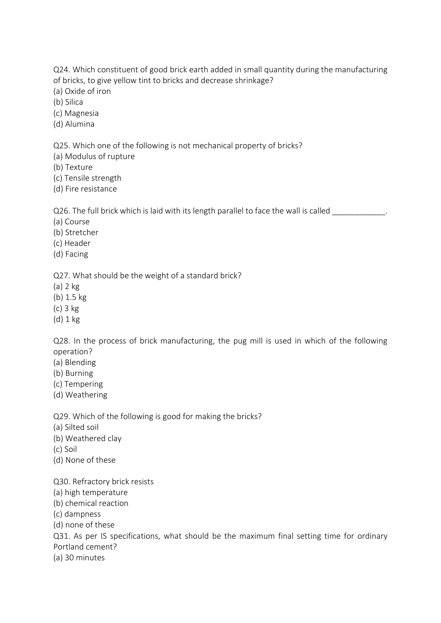Q24. Which constituent of good brick earth added in small quantity during the manufacturing of bricks, to give yellow tint to bricks and decrease shrinkage?

- (a) Oxide of iron
- (b) Silica
- (c) Magnesia
- (d) Alumina

Q25. Which one of the following is not mechanical property of bricks?

- (a) Modulus of rupture
- (b) Texture
- (c) Tensile strength
- (d) Fire resistance

Q26. The full brick which is laid with its length parallel to face the wall is called

- (a) Course
- (b) Stretcher
- (c) Header
- (d) Facing

Q27. What should be the weight of a standard brick?

- (a) 2 kg
- (b) 1.5 kg
- (c) 3 kg
- (d) 1 kg

Q28. In the process of brick manufacturing, the pug mill is used in which of the following operation?

- (a) Blending
- (b) Burning
- (c) Tempering
- (d) Weathering

Q29. Which of the following is good for making the bricks?

- (a) Silted soil
- (b) Weathered clay
- (c) Soil
- (d) None of these

Q30. Refractory brick resists

- (a) high temperature
- (b) chemical reaction
- (c) dampness
- (d) none of these

Q31. As per IS specifications, what should be the maximum final setting time for ordinary Portland cement?

(a) 30 minutes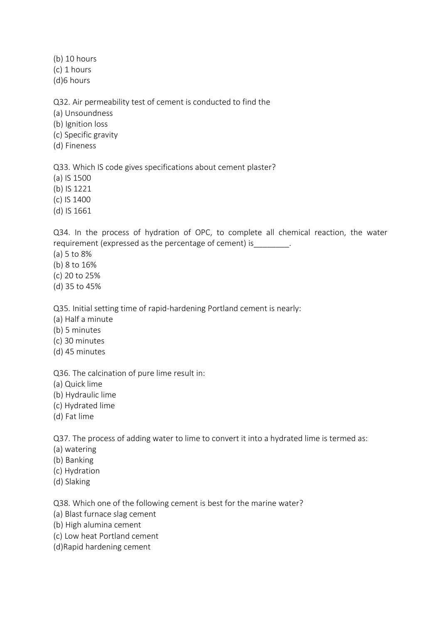(b) 10 hours (c) 1 hours

(d)6 hours

Q32. Air permeability test of cement is conducted to find the

(a) Unsoundness

(b) Ignition loss

(c) Specific gravity

(d) Fineness

Q33. Which IS code gives specifications about cement plaster?

(a) IS 1500

(b) IS 1221

(c) IS 1400

(d) IS 1661

Q34. In the process of hydration of OPC, to complete all chemical reaction, the water requirement (expressed as the percentage of cement) is  $\qquad \qquad$ .

(a) 5 to 8%

(b) 8 to 16%

(c) 20 to 25%

(d) 35 to 45%

Q35. Initial setting time of rapid-hardening Portland cement is nearly:

(a) Half a minute

- (b) 5 minutes
- (c) 30 minutes
- (d) 45 minutes

Q36. The calcination of pure lime result in:

- (a) Quick lime
- (b) Hydraulic lime
- (c) Hydrated lime
- (d) Fat lime

Q37. The process of adding water to lime to convert it into a hydrated lime is termed as:

- (a) watering
- (b) Banking
- (c) Hydration
- (d) Slaking

Q38. Which one of the following cement is best for the marine water?

(a) Blast furnace slag cement

- (b) High alumina cement
- (c) Low heat Portland cement
- (d)Rapid hardening cement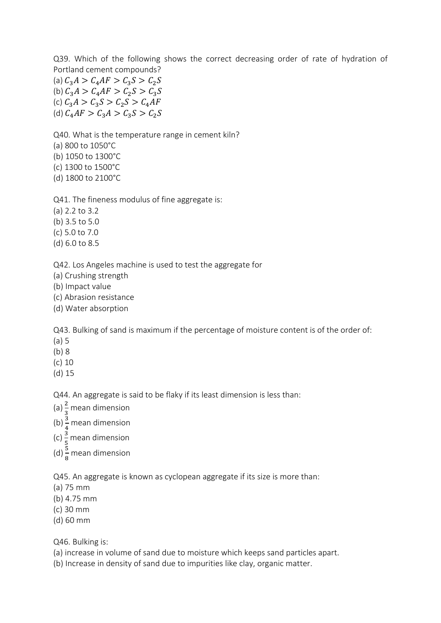Q39. Which of the following shows the correct decreasing order of rate of hydration of Portland cement compounds? (a)  $C_3 A > C_4 A F > C_3 S > C_2 S$ (b)  $C_3 A > C_4 A F > C_2 S > C_3 S$ (c)  $C_3 A > C_3 S > C_2 S > C_4 AF$ 

(d)  $C_4AF > C_3A > C_3S > C_2S$ 

Q40. What is the temperature range in cement kiln?

(a) 800 to 1050°C

(b) 1050 to 1300°C

(c) 1300 to 1500°C

(d) 1800 to 2100°C

Q41. The fineness modulus of fine aggregate is:

(a) 2.2 to 3.2

(b) 3.5 to 5.0

(c) 5.0 to 7.0

(d) 6.0 to 8.5

Q42. Los Angeles machine is used to test the aggregate for

(a) Crushing strength

(b) Impact value

(c) Abrasion resistance

(d) Water absorption

Q43. Bulking of sand is maximum if the percentage of moisture content is of the order of:

(a) 5

(b) 8

(c) 10

(d) 15

Q44. An aggregate is said to be flaky if its least dimension is less than:

(a)  $\frac{2}{3}$  mean dimension

(b)  $\frac{3}{4}$  mean dimension

(c)  $\frac{3}{5}$  mean dimension

(d)  $\frac{5}{8}$  mean dimension

Q45. An aggregate is known as cyclopean aggregate if its size is more than:

(a) 75 mm

(b) 4.75 mm

(c) 30 mm

(d) 60 mm

Q46. Bulking is:

(a) increase in volume of sand due to moisture which keeps sand particles apart.

(b) Increase in density of sand due to impurities like clay, organic matter.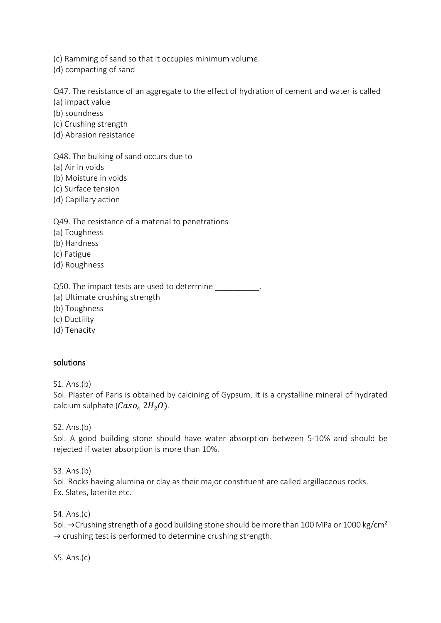(c) Ramming of sand so that it occupies minimum volume.

(d) compacting of sand

Q47. The resistance of an aggregate to the effect of hydration of cement and water is called

(a) impact value

(b) soundness

(c) Crushing strength

(d) Abrasion resistance

Q48. The bulking of sand occurs due to

(a) Air in voids

(b) Moisture in voids

(c) Surface tension

(d) Capillary action

Q49. The resistance of a material to penetrations

(a) Toughness

(b) Hardness

(c) Fatigue

(d) Roughness

Q50. The impact tests are used to determine \_\_\_\_\_\_\_\_\_\_.

(a) Ultimate crushing strength

(b) Toughness

(c) Ductility

(d) Tenacity

## solutions

S1. Ans.(b)

Sol. Plaster of Paris is obtained by calcining of Gypsum. It is a crystalline mineral of hydrated calcium sulphate ( $Caso_4 2H_2O$ ).

S2. Ans.(b)

Sol. A good building stone should have water absorption between 5-10% and should be rejected if water absorption is more than 10%.

S3. Ans.(b) Sol. Rocks having alumina or clay as their major constituent are called argillaceous rocks.

Ex. Slates, laterite etc.

S4. Ans.(c)

Sol. →Crushing strength of a good building stone should be more than 100 MPa or 1000 kg/cm<sup>2</sup>  $\rightarrow$  crushing test is performed to determine crushing strength.

S5. Ans.(c)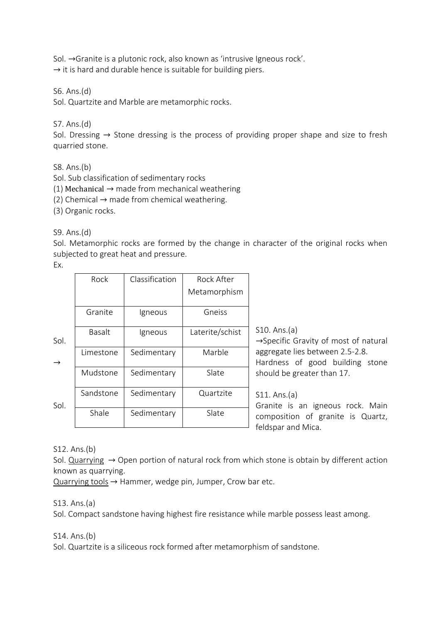Sol. →Granite is a plutonic rock, also known as 'intrusive Igneous rock'.

 $\rightarrow$  it is hard and durable hence is suitable for building piers.

S6. Ans.(d)

Sol. Quartzite and Marble are metamorphic rocks.

S7. Ans.(d)

Sol. Dressing  $\rightarrow$  Stone dressing is the process of providing proper shape and size to fresh quarried stone.

S8. Ans.(b)

Sol. Sub classification of sedimentary rocks

(1) Mechanical  $\rightarrow$  made from mechanical weathering

(2) Chemical  $\rightarrow$  made from chemical weathering.

(3) Organic rocks.

S9. Ans.(d)

Sol. Metamorphic rocks are formed by the change in character of the original rocks when subjected to great heat and pressure.

Ex.

|               | Rock          | Classification | Rock After      |                                                                    |
|---------------|---------------|----------------|-----------------|--------------------------------------------------------------------|
|               |               |                | Metamorphism    |                                                                    |
|               | Granite       | Igneous        | Gneiss          |                                                                    |
| Sol.          | <b>Basalt</b> | Igneous        | Laterite/schist | S10. Ans.(a)<br>$\rightarrow$ Specific Gravity of most of natural  |
| $\rightarrow$ | Limestone     | Sedimentary    | Marble          | aggregate lies between 2.5-2.8.<br>Hardness of good building stone |
|               | Mudstone      | Sedimentary    | Slate           | should be greater than 17.                                         |
| Sol.          | Sandstone     | Sedimentary    | Quartzite       | S11. Ans.(a)<br>Granite is an igneous rock. Main                   |
|               | Shale         | Sedimentary    | Slate           | composition of granite is Quartz,<br>feldspar and Mica.            |
|               |               |                |                 |                                                                    |

S12. Ans.(b)

Sol. Quarrying  $\rightarrow$  Open portion of natural rock from which stone is obtain by different action known as quarrying.

 $Quarrying tools \rightarrow Hammer, wedge pin, Jumper, Crow bar etc.$ 

### S13. Ans.(a)

Sol. Compact sandstone having highest fire resistance while marble possess least among.

### S14. Ans.(b)

Sol. Quartzite is a siliceous rock formed after metamorphism of sandstone.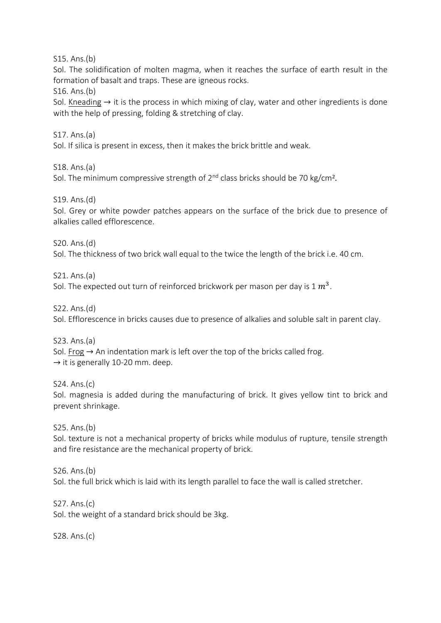S15. Ans.(b)

Sol. The solidification of molten magma, when it reaches the surface of earth result in the formation of basalt and traps. These are igneous rocks.

S16. Ans.(b)

Sol. Kneading  $\rightarrow$  it is the process in which mixing of clay, water and other ingredients is done with the help of pressing, folding & stretching of clay.

S17. Ans.(a)

Sol. If silica is present in excess, then it makes the brick brittle and weak.

S18. Ans.(a)

Sol. The minimum compressive strength of  $2<sup>nd</sup>$  class bricks should be 70 kg/cm<sup>2</sup>.

S19. Ans.(d)

Sol. Grey or white powder patches appears on the surface of the brick due to presence of alkalies called efflorescence.

S20. Ans.(d)

Sol. The thickness of two brick wall equal to the twice the length of the brick i.e. 40 cm.

S21. Ans.(a)

Sol. The expected out turn of reinforced brickwork per mason per day is 1  $m^3$ .

S22. Ans.(d)

Sol. Efflorescence in bricks causes due to presence of alkalies and soluble salt in parent clay.

S23. Ans.(a)

Sol. Frog  $\rightarrow$  An indentation mark is left over the top of the bricks called frog.  $\rightarrow$  it is generally 10-20 mm. deep.

S24. Ans.(c) Sol. magnesia is added during the manufacturing of brick. It gives yellow tint to brick and prevent shrinkage.

S25. Ans.(b)

Sol. texture is not a mechanical property of bricks while modulus of rupture, tensile strength and fire resistance are the mechanical property of brick.

S26. Ans.(b)

Sol. the full brick which is laid with its length parallel to face the wall is called stretcher.

S27. Ans.(c) Sol. the weight of a standard brick should be 3kg.

S28. Ans.(c)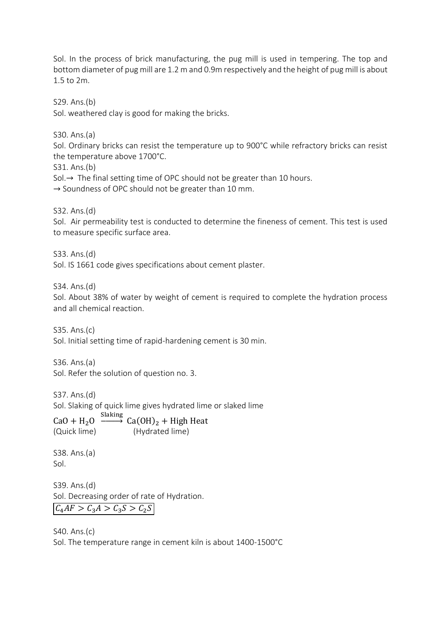Sol. In the process of brick manufacturing, the pug mill is used in tempering. The top and bottom diameter of pug mill are 1.2 m and 0.9m respectively and the height of pug mill is about 1.5 to 2m.

S29. Ans.(b)

Sol. weathered clay is good for making the bricks.

S30. Ans.(a)

Sol. Ordinary bricks can resist the temperature up to 900°C while refractory bricks can resist the temperature above 1700°C.

S31. Ans.(b)

Sol.→ The final setting time of OPC should not be greater than 10 hours.

 $\rightarrow$  Soundness of OPC should not be greater than 10 mm.

S32. Ans.(d)

Sol. Air permeability test is conducted to determine the fineness of cement. This test is used to measure specific surface area.

S33. Ans.(d)

Sol. IS 1661 code gives specifications about cement plaster.

S34. Ans.(d)

Sol. About 38% of water by weight of cement is required to complete the hydration process and all chemical reaction.

S35. Ans.(c)

Sol. Initial setting time of rapid-hardening cement is 30 min.

S36. Ans.(a)

Sol. Refer the solution of question no. 3.

S37. Ans.(d)

Sol. Slaking of quick lime gives hydrated lime or slaked lime

 $CaO + H_2O \xrightarrow{Slaking} Ca(OH)_2 + High Heat$ (Quick lime) (Hydrated lime)

S38. Ans.(a) Sol.

S39. Ans.(d) Sol. Decreasing order of rate of Hydration.  $C_4AF > C_3A > C_3S > C_2S$ 

S40. Ans.(c) Sol. The temperature range in cement kiln is about 1400-1500°C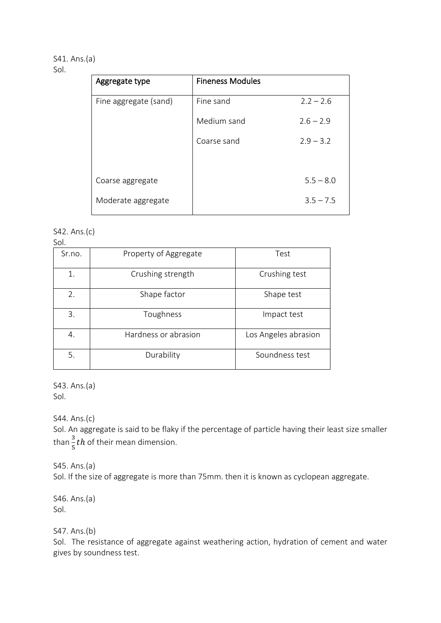# S41. Ans.(a)

# Sol.

| Aggregate type        | <b>Fineness Modules</b> |             |  |
|-----------------------|-------------------------|-------------|--|
| Fine aggregate (sand) | Fine sand               | $2.2 - 2.6$ |  |
|                       | Medium sand             | $2.6 - 2.9$ |  |
|                       | Coarse sand             | $2.9 - 3.2$ |  |
|                       |                         |             |  |
| Coarse aggregate      |                         | $5.5 - 8.0$ |  |
| Moderate aggregate    |                         | $3.5 - 7.5$ |  |

#### S42. Ans.(c) Sol.

| ---    |                       |                      |  |  |  |
|--------|-----------------------|----------------------|--|--|--|
| Sr.no. | Property of Aggregate | Test                 |  |  |  |
| 1.     | Crushing strength     | Crushing test        |  |  |  |
| 2.     | Shape factor          | Shape test           |  |  |  |
| 3.     | Toughness             | Impact test          |  |  |  |
| 4.     | Hardness or abrasion  | Los Angeles abrasion |  |  |  |
| 5.     | Durability            | Soundness test       |  |  |  |

S43. Ans.(a) Sol.

S44. Ans.(c)

Sol. An aggregate is said to be flaky if the percentage of particle having their least size smaller than  $\frac{3}{5}$ *th* of their mean dimension.

S45. Ans.(a)

Sol. If the size of aggregate is more than 75mm. then it is known as cyclopean aggregate.

S46. Ans.(a) Sol.

S47. Ans.(b)

Sol. The resistance of aggregate against weathering action, hydration of cement and water gives by soundness test.